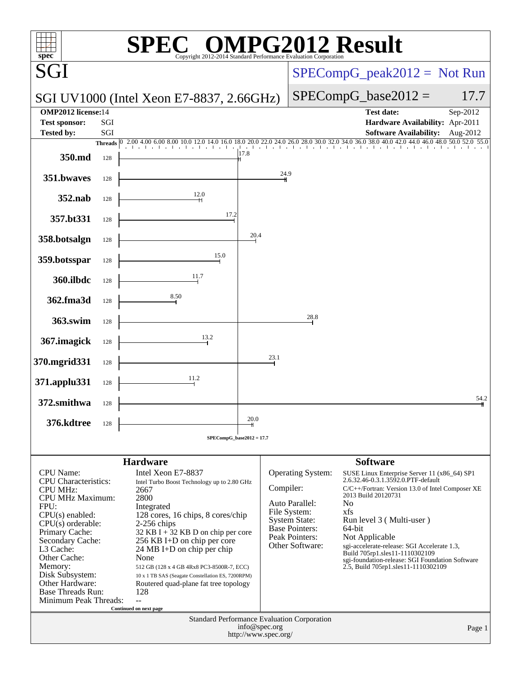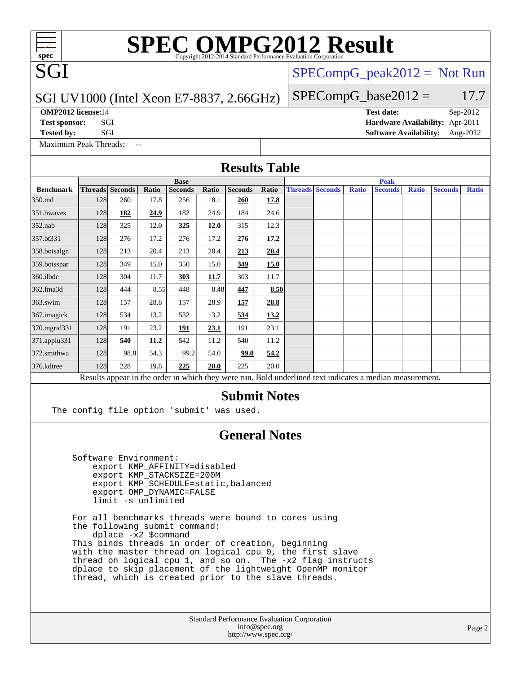# **[SPEC OMPG2012 Result](http://www.spec.org/auto/omp2012/Docs/result-fields.html#SPECOMPG2012Result)**

SGI UV1000 (Intel Xeon E7-8837, 2.66GHz)

[SPECompG\\_peak2012 =](http://www.spec.org/auto/omp2012/Docs/result-fields.html#SPECompGpeak2012) Not Run

 $SPECompG_base2012 = 17.7$  $SPECompG_base2012 = 17.7$ 

**[OMP2012 license:](http://www.spec.org/auto/omp2012/Docs/result-fields.html#OMP2012license)**14 **[Test date:](http://www.spec.org/auto/omp2012/Docs/result-fields.html#Testdate)** Sep-2012

SGI

**[Test sponsor:](http://www.spec.org/auto/omp2012/Docs/result-fields.html#Testsponsor)** SGI **[Hardware Availability:](http://www.spec.org/auto/omp2012/Docs/result-fields.html#HardwareAvailability)** Apr-2011

[Maximum Peak Threads:](http://www.spec.org/auto/omp2012/Docs/result-fields.html#MaximumPeakThreads) --

**[Tested by:](http://www.spec.org/auto/omp2012/Docs/result-fields.html#Testedby)** SGI [Software Availability:](http://www.spec.org/auto/omp2012/Docs/result-fields.html#SoftwareAvailability) Aug-2012

|                            | <b>Results Table</b>  |                        |               |                                                                                                                                                                                                                                                                                                                                                                                             |               |                                                                     |               |  |                        |              |                                                                                                          |              |                |              |
|----------------------------|-----------------------|------------------------|---------------|---------------------------------------------------------------------------------------------------------------------------------------------------------------------------------------------------------------------------------------------------------------------------------------------------------------------------------------------------------------------------------------------|---------------|---------------------------------------------------------------------|---------------|--|------------------------|--------------|----------------------------------------------------------------------------------------------------------|--------------|----------------|--------------|
|                            |                       |                        |               | <b>Base</b>                                                                                                                                                                                                                                                                                                                                                                                 |               |                                                                     |               |  |                        |              | <b>Peak</b>                                                                                              |              |                |              |
| <b>Benchmark</b><br>350.md | 128                   | Threads Seconds<br>260 | Ratio<br>17.8 | <b>Seconds</b><br>256                                                                                                                                                                                                                                                                                                                                                                       | Ratio<br>18.1 | <b>Seconds</b><br>260                                               | Ratio<br>17.8 |  | <b>Threads Seconds</b> | <b>Ratio</b> | <b>Seconds</b>                                                                                           | <b>Ratio</b> | <b>Seconds</b> | <b>Ratio</b> |
| 351.bwaves                 | 128                   | 182                    | 24.9          | 182                                                                                                                                                                                                                                                                                                                                                                                         | 24.9          | 184                                                                 | 24.6          |  |                        |              |                                                                                                          |              |                |              |
| $352$ .nab                 | 128                   | 325                    | 12.0          | <u>325</u>                                                                                                                                                                                                                                                                                                                                                                                  | <b>12.0</b>   | 315                                                                 | 12.3          |  |                        |              |                                                                                                          |              |                |              |
| 357.bt331                  | 128                   | 276                    | 17.2          | 276                                                                                                                                                                                                                                                                                                                                                                                         | 17.2          | 276                                                                 | 17.2          |  |                        |              |                                                                                                          |              |                |              |
| 358.botsalgn               | 128                   | 213                    | 20.4          | 213                                                                                                                                                                                                                                                                                                                                                                                         | 20.4          | 213                                                                 | 20.4          |  |                        |              |                                                                                                          |              |                |              |
| 359.botsspar               | 128                   | 349                    | 15.0          | 350                                                                                                                                                                                                                                                                                                                                                                                         | 15.0          | 349                                                                 | 15.0          |  |                        |              |                                                                                                          |              |                |              |
| 360.ilbdc                  | 128                   | 304                    | 11.7          | 303                                                                                                                                                                                                                                                                                                                                                                                         | 11.7          | 303                                                                 | 11.7          |  |                        |              |                                                                                                          |              |                |              |
| 362.fma3d                  | 128                   | 444                    | 8.55          | 448                                                                                                                                                                                                                                                                                                                                                                                         | 8.48          | 447                                                                 | 8.50          |  |                        |              |                                                                                                          |              |                |              |
| 363.swim                   | 128                   | 157                    | 28.8          | 157                                                                                                                                                                                                                                                                                                                                                                                         | 28.9          | <u>157</u>                                                          | 28.8          |  |                        |              |                                                                                                          |              |                |              |
| 367.imagick                | 128                   | 534                    | 13.2          | 532                                                                                                                                                                                                                                                                                                                                                                                         | 13.2          | 534                                                                 | 13.2          |  |                        |              |                                                                                                          |              |                |              |
| 370.mgrid331               | 128                   | 191                    | 23.2          | 191                                                                                                                                                                                                                                                                                                                                                                                         | 23.1          | 191                                                                 | 23.1          |  |                        |              |                                                                                                          |              |                |              |
| 371.applu331               | 128                   | 540                    | 11.2          | 542                                                                                                                                                                                                                                                                                                                                                                                         | 11.2          | 540                                                                 | 11.2          |  |                        |              |                                                                                                          |              |                |              |
| 372.smithwa                | 128                   | 98.8                   | 54.3          | 99.2                                                                                                                                                                                                                                                                                                                                                                                        | 54.0          | 99.0                                                                | 54.2          |  |                        |              |                                                                                                          |              |                |              |
| 376.kdtree                 | 128                   | 228                    | 19.8          | 225                                                                                                                                                                                                                                                                                                                                                                                         | <b>20.0</b>   | 225                                                                 | 20.0          |  |                        |              |                                                                                                          |              |                |              |
|                            |                       |                        |               |                                                                                                                                                                                                                                                                                                                                                                                             |               |                                                                     |               |  |                        |              | Results appear in the order in which they were run. Bold underlined text indicates a median measurement. |              |                |              |
|                            | Software Environment: | limit -s unlimited     |               | The config file option 'submit' was used.<br>export KMP AFFINITY=disabled<br>export KMP_STACKSIZE=200M<br>export KMP_SCHEDULE=static, balanced<br>export OMP_DYNAMIC=FALSE                                                                                                                                                                                                                  |               | <b>General Notes</b>                                                |               |  |                        |              |                                                                                                          |              |                |              |
|                            |                       | $dplace -x2 $command$  |               | For all benchmarks threads were bound to cores using<br>the following submit command:<br>This binds threads in order of creation, beginning<br>with the master thread on logical cpu 0, the first slave<br>thread on logical cpu 1, and so on. The -x2 flag instructs<br>dplace to skip placement of the lightweight OpenMP monitor<br>thread, which is created prior to the slave threads. |               |                                                                     |               |  |                        |              |                                                                                                          |              |                |              |
|                            |                       |                        |               |                                                                                                                                                                                                                                                                                                                                                                                             |               | Standard Performance Evaluation Corporation<br>http://www.spec.org/ | info@spec.org |  |                        |              |                                                                                                          |              |                | Page 2       |